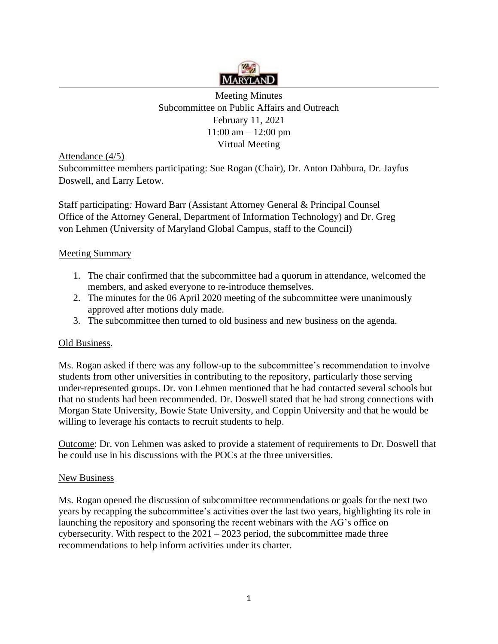

 11:00 am – 12:00 pm Meeting Minutes Subcommittee on Public Affairs and Outreach February 11, 2021 Virtual Meeting

Attendance (4/5)

Subcommittee members participating: Sue Rogan (Chair), Dr. Anton Dahbura, Dr. Jayfus Doswell, and Larry Letow.

Staff participating*:* Howard Barr (Assistant Attorney General & Principal Counsel Office of the Attorney General, Department of Information Technology) and Dr. Greg von Lehmen (University of Maryland Global Campus, staff to the Council)

## Meeting Summary

- 1. The chair confirmed that the subcommittee had a quorum in attendance, welcomed the members, and asked everyone to re-introduce themselves.
- 2. The minutes for the 06 April 2020 meeting of the subcommittee were unanimously approved after motions duly made.
- 3. The subcommittee then turned to old business and new business on the agenda.

## Old Business.

 willing to leverage his contacts to recruit students to help. Ms. Rogan asked if there was any follow-up to the subcommittee's recommendation to involve students from other universities in contributing to the repository, particularly those serving under-represented groups. Dr. von Lehmen mentioned that he had contacted several schools but that no students had been recommended. Dr. Doswell stated that he had strong connections with Morgan State University, Bowie State University, and Coppin University and that he would be

Outcome: Dr. von Lehmen was asked to provide a statement of requirements to Dr. Doswell that he could use in his discussions with the POCs at the three universities.

## New Business

cybersecurity. With respect to the  $2021 - 2023$  period, the subcommittee made three Ms. Rogan opened the discussion of subcommittee recommendations or goals for the next two years by recapping the subcommittee's activities over the last two years, highlighting its role in launching the repository and sponsoring the recent webinars with the AG's office on recommendations to help inform activities under its charter.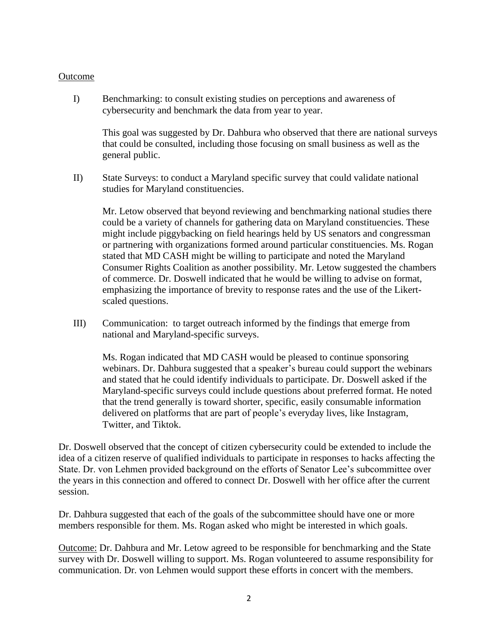## Outcome

 cybersecurity and benchmark the data from year to year. I) Benchmarking: to consult existing studies on perceptions and awareness of

 This goal was suggested by Dr. Dahbura who observed that there are national surveys general public. that could be consulted, including those focusing on small business as well as the

II) State Surveys: to conduct a Maryland specific survey that could validate national studies for Maryland constituencies.

Mr. Letow observed that beyond reviewing and benchmarking national studies there could be a variety of channels for gathering data on Maryland constituencies. These might include piggybacking on field hearings held by US senators and congressman or partnering with organizations formed around particular constituencies. Ms. Rogan stated that MD CASH might be willing to participate and noted the Maryland Consumer Rights Coalition as another possibility. Mr. Letow suggested the chambers of commerce. Dr. Doswell indicated that he would be willing to advise on format, emphasizing the importance of brevity to response rates and the use of the Likertscaled questions.

III) Communication: to target outreach informed by the findings that emerge from national and Maryland-specific surveys.

Ms. Rogan indicated that MD CASH would be pleased to continue sponsoring webinars. Dr. Dahbura suggested that a speaker's bureau could support the webinars and stated that he could identify individuals to participate. Dr. Doswell asked if the Maryland-specific surveys could include questions about preferred format. He noted that the trend generally is toward shorter, specific, easily consumable information delivered on platforms that are part of people's everyday lives, like Instagram, Twitter, and Tiktok.

Dr. Doswell observed that the concept of citizen cybersecurity could be extended to include the idea of a citizen reserve of qualified individuals to participate in responses to hacks affecting the State. Dr. von Lehmen provided background on the efforts of Senator Lee's subcommittee over the years in this connection and offered to connect Dr. Doswell with her office after the current session.

Dr. Dahbura suggested that each of the goals of the subcommittee should have one or more members responsible for them. Ms. Rogan asked who might be interested in which goals.

Outcome: Dr. Dahbura and Mr. Letow agreed to be responsible for benchmarking and the State communication. Dr. von Lehmen would support these efforts in concert with the members. survey with Dr. Doswell willing to support. Ms. Rogan volunteered to assume responsibility for